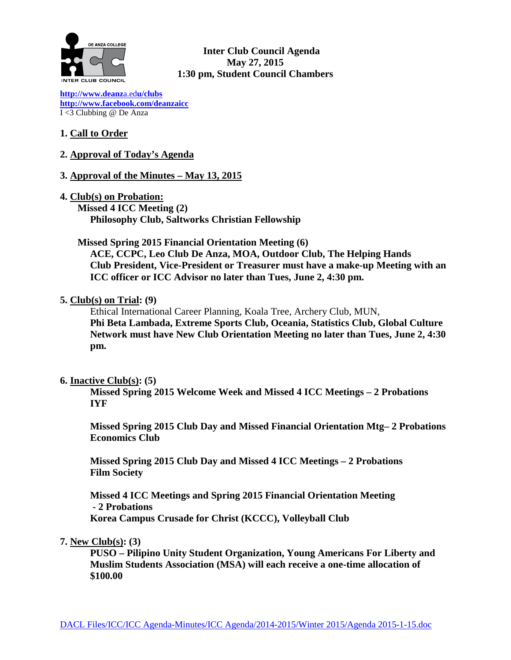

**Inter Club Council Agenda May 27, 2015 1:30 pm, Student Council Chambers** 

**[http://www.deanz](http://www.deanza.edu/clubs)**a.ed**u/clubs [http://www.facebook.com/deanzaicc](http://www.facebook.com/home.php%23!/group.php?gid=59034552686)** I <3 Clubbing @ De Anza

# **1. Call to Order**

**2. Approval of Today's Agenda** 

## **3. Approval of the Minutes – May 13, 2015**

**4. Club(s) on Probation: Missed 4 ICC Meeting (2) Philosophy Club, Saltworks Christian Fellowship**

## **Missed Spring 2015 Financial Orientation Meeting (6)**

**ACE, CCPC, Leo Club De Anza, MOA, Outdoor Club, The Helping Hands Club President, Vice-President or Treasurer must have a make-up Meeting with an ICC officer or ICC Advisor no later than Tues, June 2, 4:30 pm.**

## **5. Club(s) on Trial: (9)**

Ethical International Career Planning, Koala Tree, Archery Club, MUN, **Phi Beta Lambada, Extreme Sports Club, Oceania, Statistics Club, Global Culture Network must have New Club Orientation Meeting no later than Tues, June 2, 4:30 pm.**

## **6. Inactive Club(s): (5)**

**Missed Spring 2015 Welcome Week and Missed 4 ICC Meetings – 2 Probations IYF**

**Missed Spring 2015 Club Day and Missed Financial Orientation Mtg– 2 Probations Economics Club**

**Missed Spring 2015 Club Day and Missed 4 ICC Meetings – 2 Probations Film Society**

**Missed 4 ICC Meetings and Spring 2015 Financial Orientation Meeting - 2 Probations Korea Campus Crusade for Christ (KCCC), Volleyball Club**

## **7. New Club(s): (3)**

**PUSO – Pilipino Unity Student Organization, Young Americans For Liberty and Muslim Students Association (MSA) will each receive a one-time allocation of \$100.00**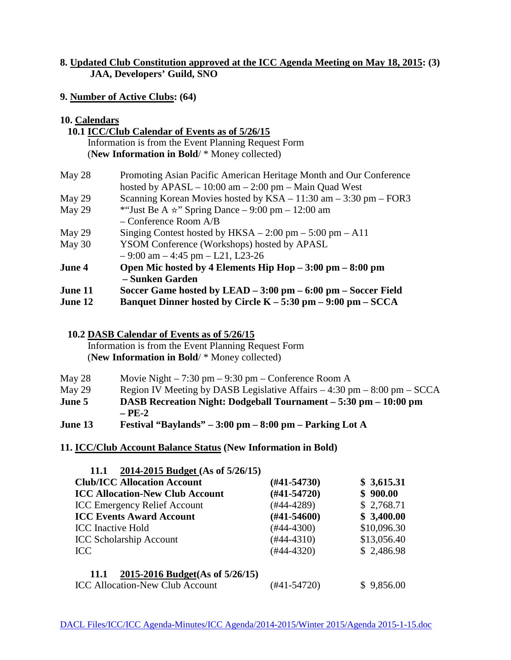# **8. Updated Club Constitution approved at the ICC Agenda Meeting on May 18, 2015: (3) JAA, Developers' Guild, SNO**

## **9. Number of Active Clubs: (64)**

## **10. Calendars**

| 10.1 ICC/Club Calendar of Events as of 5/26/15      |  |  |  |
|-----------------------------------------------------|--|--|--|
| Information is from the Event Planning Request Form |  |  |  |
| (New Information in Bold/ * Money collected)        |  |  |  |

| May 28         | Promoting Asian Pacific American Heritage Month and Our Conference         |  |  |
|----------------|----------------------------------------------------------------------------|--|--|
|                | hosted by $APASL - 10:00$ am $- 2:00$ pm $-$ Main Quad West                |  |  |
| May 29         | Scanning Korean Movies hosted by $KSA - 11:30$ am $- 3:30$ pm $-$ FOR3     |  |  |
| May 29         | *"Just Be A $\star$ " Spring Dance – 9:00 pm – 12:00 am                    |  |  |
|                | $-$ Conference Room $A/B$                                                  |  |  |
| May 29         | Singing Contest hosted by $HKSA - 2:00 \text{ pm} - 5:00 \text{ pm} - A11$ |  |  |
| May 30         | YSOM Conference (Workshops) hosted by APASL                                |  |  |
|                | $-9:00$ am $-4:45$ pm $-121$ , L23-26                                      |  |  |
| June 4         | Open Mic hosted by 4 Elements Hip Hop $-3:00$ pm $-8:00$ pm                |  |  |
|                | – Sunken Garden                                                            |  |  |
| <b>June 11</b> | Soccer Game hosted by LEAD $-3:00$ pm $-6:00$ pm $-$ Soccer Field          |  |  |
| June 12        | Banquet Dinner hosted by Circle $K - 5:30$ pm $- 9:00$ pm $-$ SCCA         |  |  |

# **10.2 DASB Calendar of Events as of 5/26/15**

Information is from the Event Planning Request Form (**New Information in Bold**/ \* Money collected)

| May 28 | Movie Night $-7:30$ pm $-9:30$ pm $-$ Conference Room A                     |
|--------|-----------------------------------------------------------------------------|
| May 29 | Region IV Meeting by DASB Legislative Affairs $-4:30$ pm $-8:00$ pm $-SCCA$ |

- **June 5 DASB Recreation Night: Dodgeball Tournament – 5:30 pm – 10:00 pm – PE-2**
- **June 13 Festival "Baylands" – 3:00 pm – 8:00 pm – Parking Lot A**

## **11. ICC/Club Account Balance Status (New Information in Bold)**

| 2014-2015 Budget (As of 5/26/15)<br><b>11.1</b> |                  |             |
|-------------------------------------------------|------------------|-------------|
| <b>Club/ICC Allocation Account</b>              | $(\#41 - 54730)$ | \$3,615.31  |
| <b>ICC Allocation-New Club Account</b>          | $(#41-54720)$    | \$900.00    |
| <b>ICC Emergency Relief Account</b>             | $(#44-4289)$     | \$2,768.71  |
| <b>ICC Events Award Account</b>                 | $(\#41 - 54600)$ | \$3,400.00  |
| <b>ICC</b> Inactive Hold                        | $(#44-4300)$     | \$10,096.30 |
| <b>ICC Scholarship Account</b>                  | $(#44-4310)$     | \$13,056.40 |
| <b>ICC</b>                                      | $(#44-4320)$     | \$2,486.98  |
| 2015-2016 Budget(As of 5/26/15)<br>11.1         |                  |             |
| <b>ICC Allocation-New Club Account</b>          | (#41-54720)      | 9,856.00    |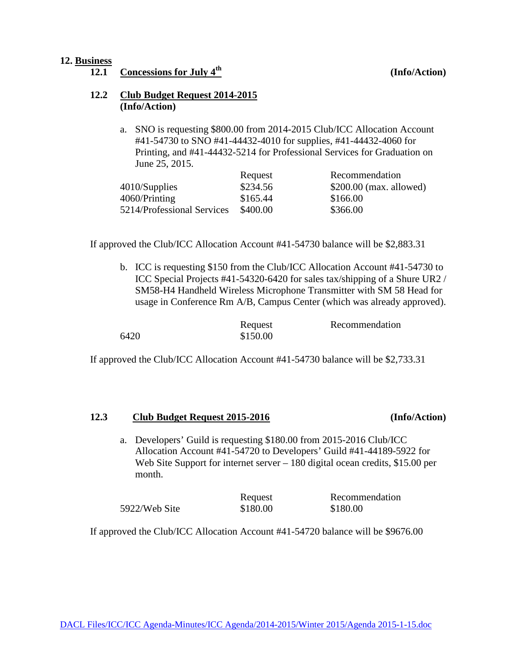### **12. Business**

**12.1 Concessions for July 4th (Info/Action)**

### **12.2 Club Budget Request 2014-2015 (Info/Action)**

a. SNO is requesting \$800.00 from 2014-2015 Club/ICC Allocation Account #41-54730 to SNO #41-44432-4010 for supplies, #41-44432-4060 for Printing, and #41-44432-5214 for Professional Services for Graduation on June 25, 2015.

|                            | Request  | Recommendation           |
|----------------------------|----------|--------------------------|
| 4010/Supplies              | \$234.56 | $$200.00$ (max. allowed) |
| 4060/Printing              | \$165.44 | \$166.00                 |
| 5214/Professional Services | \$400.00 | \$366.00                 |

If approved the Club/ICC Allocation Account #41-54730 balance will be \$2,883.31

b. ICC is requesting \$150 from the Club/ICC Allocation Account #41-54730 to ICC Special Projects #41-54320-6420 for sales tax/shipping of a Shure UR2 / SM58-H4 Handheld Wireless Microphone Transmitter with SM 58 Head for usage in Conference Rm A/B, Campus Center (which was already approved).

|      | Request  | Recommendation |
|------|----------|----------------|
| 6420 | \$150.00 |                |

If approved the Club/ICC Allocation Account #41-54730 balance will be \$2,733.31

### **12.3 Club Budget Request 2015-2016 (Info/Action)**

a. Developers' Guild is requesting \$180.00 from 2015-2016 Club/ICC Allocation Account #41-54720 to Developers' Guild #41-44189-5922 for Web Site Support for internet server – 180 digital ocean credits, \$15.00 per month.

Request Recommendation 5922/Web Site \$180.00 \$180.00

If approved the Club/ICC Allocation Account #41-54720 balance will be \$9676.00